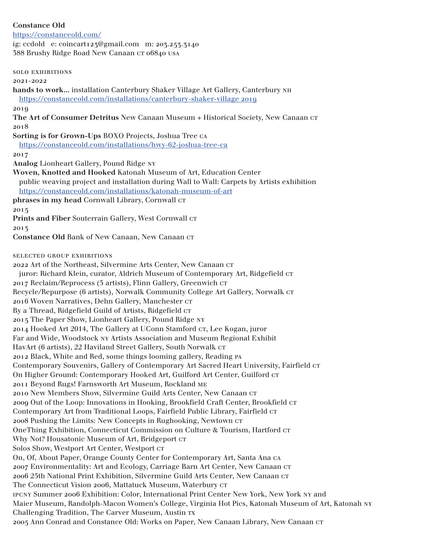# **Constance Old**

## https://constanceold.com/

ig: ccdold e: coincart123@gmail.com m: 203.253.3140 588 Brushy Ridge Road New Canaan CT 06840 USA

solo exhibitions

#### 2021-2022

**hands to work...** installation Canterbury Shaker Village Art Gallery, Canterbury nh https://constanceold.com/installations/canterbury-shaker-village 2019

2019

**The Art of Consumer Detritus** New Canaan Museum + Historical Society, New Canaan ct 2018

**Sorting is for Grown-Ups** BOXO Projects, Joshua Tree ca

https://constanceold.com/installations/hwy-62-joshua-tree-ca

2017

**Analog** Lionheart Gallery, Pound Ridge ny

**Woven, Knotted and Hooked** Katonah Museum of Art, Education Center public weaving project and installation during Wall to Wall: Carpets by Artists exhibition https://constanceold.com/installations/katonah-museum-of-art phrases in my head Cornwall Library, Cornwall  $cr$ 

2015

Prints and Fiber Souterrain Gallery, West Cornwall cr

2013

Constance Old Bank of New Canaan, New Canaan CT

selected group exhibitions

2022 Art of the Northeast, Silvermine Arts Center, New Canaan cr

juror: Richard Klein, curator, Aldrich Museum of Contemporary Art, Ridgefield cr 2017 Reclaim/Reprocess (5 artists), Flinn Gallery, Greenwich cr Recycle/Repurpose (6 artists), Norwalk Community College Art Gallery, Norwalk ct 2016 Woven Narratives, Dehn Gallery, Manchester CT By a Thread, Ridgefield Guild of Artists, Ridgefield CT 2015 The Paper Show, Lionheart Gallery, Pound Ridge ny 2014 Hooked Art 2014, The Gallery at UConn Stamford CT, Lee Kogan, juror Far and Wide, Woodstock ny Artists Association and Museum Regional Exhibit HavArt (6 artists), 22 Haviland Street Gallery, South Norwalk CT 2012 Black, White and Red, some things looming gallery, Reading pa Contemporary Souvenirs, Gallery of Contemporary Art Sacred Heart University, Fairfield CT On Higher Ground: Contemporary Hooked Art, Guilford Art Center, Guilford CT 2011 Beyond Rugs! Farnsworth Art Museum, Rockland me 2010 New Members Show, Silvermine Guild Arts Center, New Canaan cr 2009 Out of the Loop: Innovations in Hooking, Brookfield Craft Center, Brookfield CT Contemporary Art from Traditional Loops, Fairfield Public Library, Fairfield CT 2008 Pushing the Limits: New Concepts in Rughooking, Newtown CT OneThing Exhibition, Connecticut Commission on Culture & Tourism, Hartford ct Why Not? Housatonic Museum of Art, Bridgeport cr Solos Show, Westport Art Center, Westport CT On, Of, About Paper, Orange County Center for Contemporary Art, Santa Ana ca 2007 Environmentality: Art and Ecology, Carriage Barn Art Center, New Canaan cr 2006 25th National Print Exhibition, Silvermine Guild Arts Center, New Canaan cr The Connecticut Vision 2006, Mattatuck Museum, Waterbury CT ipcny Summer 2006 Exhibition: Color, International Print Center New York, New York ny and Maier Museum, Randolph-Macon Women's College, Virginia Hot Pics, Katonah Museum of Art, Katonah ny Challenging Tradition, The Carver Museum, Austin tx 2005 Ann Conrad and Constance Old: Works on Paper, New Canaan Library, New Canaan cr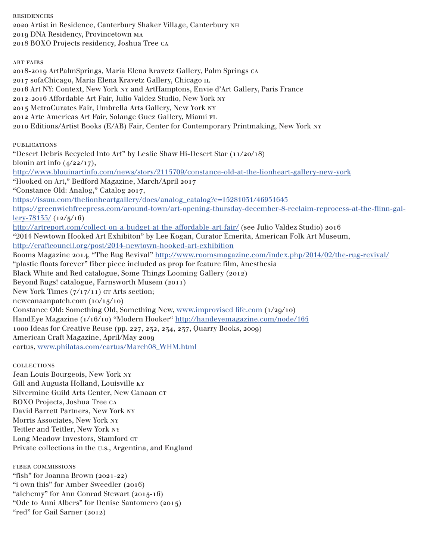residencies 2020 Artist in Residence, Canterbury Shaker Village, Canterbury nh 2019 DNA Residency, Provincetown ma 2018 BOXO Projects residency, Joshua Tree ca art fairs 2018-2019 ArtPalmSprings, Maria Elena Kravetz Gallery, Palm Springs ca 2017 sofaChicago, Maria Elena Kravetz Gallery, Chicago il 2016 Art NY: Context, New York ny and ArtHamptons, Envie d'Art Gallery, Paris France 2012-2016 Affordable Art Fair, Julio Valdez Studio, New York ny 2015 MetroCurates Fair, Umbrella Arts Gallery, New York ny 2012 Arte Americas Art Fair, Solange Guez Gallery, Miami fl 2010 Editions/Artist Books (E/AB) Fair, Center for Contemporary Printmaking, New York ny **PUBLICATIONS** "Desert Debris Recycled Into Art" by Leslie Shaw Hi-Desert Star (11/20/18) blouin art info  $(4/22/17)$ , http://www.blouinartinfo.com/news/story/2115709/constance-old-at-the-lionheart-gallery-new-york "Hooked on Art," Bedford Magazine, March/April 2017 "Constance Old: Analog," Catalog 2017, https://issuu.com/thelionheartgallery/docs/analog\_catalog?e=15281031/46951643 https://greenwichfreepress.com/around-town/art-opening-thursday-december-8-reclaim-reprocess-at-the-flinn-gal $l$ ery-78135/ $(12/5/16)$ http://artreport.com/collect-on-a-budget-at-the-affordable-art-fair/ (see Julio Valdez Studio) 2016 "2014 Newtown Hooked Art Exhibiton" by Lee Kogan, Curator Emerita, American Folk Art Museum, http://craftcouncil.org/post/2014-newtown-hooked-art-exhibition Rooms Magazine 2014, "The Rug Revival" http://www.roomsmagazine.com/index.php/2014/02/the-rug-revival/ "plastic floats forever" fiber piece included as prop for feature film, Anesthesia Black White and Red catalogue, Some Things Looming Gallery (2012) Beyond Rugs! catalogue, Farnsworth Musem (2011) New York Times  $(7/17/11)$  CT Arts section; newcanaanpatch.com (10/15/10) Constance Old: Something Old, Something New, www.improvised life.com (1/29/10) HandEye Magazine (1/16/10) "Modern Hooker" http://handeyemagazine.com/node/165 1000 Ideas for Creative Reuse (pp. 227, 232, 234, 237, Quarry Books, 2009) American Craft Magazine, April/May 2009 cartus, www.philatas.com/cartus/March08\_WHM.html

collections Jean Louis Bourgeois, New York ny Gill and Augusta Holland, Louisville ky Silvermine Guild Arts Center, New Canaan cr BOXO Projects, Joshua Tree ca David Barrett Partners, New York ny Morris Associates, New York ny Teitler and Teitler, New York ny Long Meadow Investors, Stamford CT Private collections in the u.s., Argentina, and England

fiber commissions "fish" for Joanna Brown (2021-22) "i own this" for Amber Sweedler (2016) "alchemy" for Ann Conrad Stewart (2015-16) "Ode to Anni Albers" for Denise Santomero (2015) "red" for Gail Sarner (2012)